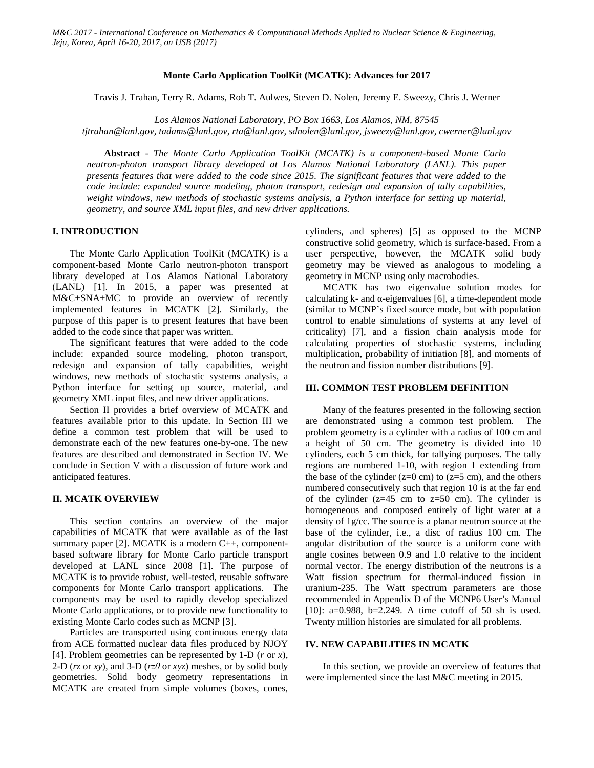#### **Monte Carlo Application ToolKit (MCATK): Advances for 2017**

Travis J. Trahan, Terry R. Adams, Rob T. Aulwes, Steven D. Nolen, Jeremy E. Sweezy, Chris J. Werner

*Los Alamos National Laboratory, PO Box 1663, Los Alamos, NM, 87545*

*tjtrahan@lanl.gov, tadams@lanl.gov, rta@lanl.gov, sdnolen@lanl.gov, jsweezy@lanl.gov, cwerner@lanl.gov*

**Abstract** *- The Monte Carlo Application ToolKit (MCATK) is a component-based Monte Carlo neutron-photon transport library developed at Los Alamos National Laboratory (LANL). This paper presents features that were added to the code since 2015. The significant features that were added to the code include: expanded source modeling, photon transport, redesign and expansion of tally capabilities, weight windows, new methods of stochastic systems analysis, a Python interface for setting up material, geometry, and source XML input files, and new driver applications.*

# **I. INTRODUCTION**

The Monte Carlo Application ToolKit (MCATK) is a component-based Monte Carlo neutron-photon transport library developed at Los Alamos National Laboratory (LANL) [1]. In 2015, a paper was presented at M&C+SNA+MC to provide an overview of recently implemented features in MCATK [2]. Similarly, the purpose of this paper is to present features that have been added to the code since that paper was written.

The significant features that were added to the code include: expanded source modeling, photon transport, redesign and expansion of tally capabilities, weight windows, new methods of stochastic systems analysis, a Python interface for setting up source, material, and geometry XML input files, and new driver applications.

Section II provides a brief overview of MCATK and features available prior to this update. In Section III we define a common test problem that will be used to demonstrate each of the new features one-by-one. The new features are described and demonstrated in Section IV. We conclude in Section V with a discussion of future work and anticipated features.

#### **II. MCATK OVERVIEW**

This section contains an overview of the major capabilities of MCATK that were available as of the last summary paper [2]. MCATK is a modern C++, componentbased software library for Monte Carlo particle transport developed at LANL since 2008 [1]. The purpose of MCATK is to provide robust, well-tested, reusable software components for Monte Carlo transport applications. The components may be used to rapidly develop specialized Monte Carlo applications, or to provide new functionality to existing Monte Carlo codes such as MCNP [3].

Particles are transported using continuous energy data from ACE formatted nuclear data files produced by NJOY [4]. Problem geometries can be represented by 1-D (*r* or *x*), 2-D (*rz* or *xy*), and 3-D (*rzθ* or *xyz*) meshes, or by solid body geometries. Solid body geometry representations in MCATK are created from simple volumes (boxes, cones,

cylinders, and spheres) [5] as opposed to the MCNP constructive solid geometry, which is surface-based. From a user perspective, however, the MCATK solid body geometry may be viewed as analogous to modeling a geometry in MCNP using only macrobodies.

MCATK has two eigenvalue solution modes for calculating  $k$ - and  $\alpha$ -eigenvalues [6], a time-dependent mode (similar to MCNP's fixed source mode, but with population control to enable simulations of systems at any level of criticality) [7], and a fission chain analysis mode for calculating properties of stochastic systems, including multiplication, probability of initiation [8], and moments of the neutron and fission number distributions [9].

#### **III. COMMON TEST PROBLEM DEFINITION**

Many of the features presented in the following section are demonstrated using a common test problem. The problem geometry is a cylinder with a radius of 100 cm and a height of 50 cm. The geometry is divided into 10 cylinders, each 5 cm thick, for tallying purposes. The tally regions are numbered 1-10, with region 1 extending from the base of the cylinder ( $z=0$  cm) to ( $z=5$  cm), and the others numbered consecutively such that region 10 is at the far end of the cylinder  $(z=45 \text{ cm})$  to  $z=50 \text{ cm}$ ). The cylinder is homogeneous and composed entirely of light water at a density of 1g/cc. The source is a planar neutron source at the base of the cylinder, i.e., a disc of radius 100 cm. The angular distribution of the source is a uniform cone with angle cosines between 0.9 and 1.0 relative to the incident normal vector. The energy distribution of the neutrons is a Watt fission spectrum for thermal-induced fission in uranium-235. The Watt spectrum parameters are those recommended in Appendix D of the MCNP6 User's Manual [10]: a=0.988, b=2.249. A time cutoff of 50 sh is used. Twenty million histories are simulated for all problems.

#### **IV. NEW CAPABILITIES IN MCATK**

In this section, we provide an overview of features that were implemented since the last M&C meeting in 2015.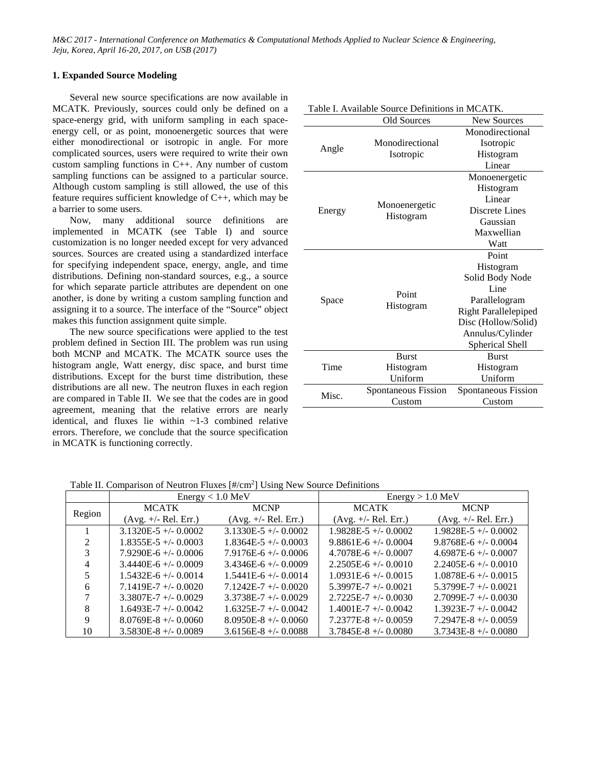## **1. Expanded Source Modeling**

Several new source specifications are now available in MCATK. Previously, sources could only be defined on a space-energy grid, with uniform sampling in each spaceenergy cell, or as point, monoenergetic sources that were either monodirectional or isotropic in angle. For more complicated sources, users were required to write their own custom sampling functions in C++. Any number of custom sampling functions can be assigned to a particular source. Although custom sampling is still allowed, the use of this feature requires sufficient knowledge of C++, which may be a barrier to some users.

Now, many additional source definitions are implemented in MCATK (see Table I) and source customization is no longer needed except for very advanced sources. Sources are created using a standardized interface for specifying independent space, energy, angle, and time distributions. Defining non-standard sources, e.g., a source for which separate particle attributes are dependent on one another, is done by writing a custom sampling function and assigning it to a source. The interface of the "Source" object makes this function assignment quite simple.

The new source specifications were applied to the test problem defined in Section III. The problem was run using both MCNP and MCATK. The MCATK source uses the histogram angle, Watt energy, disc space, and burst time distributions. Except for the burst time distribution, these distributions are all new. The neutron fluxes in each region are compared in Table II. We see that the codes are in good agreement, meaning that the relative errors are nearly identical, and fluxes lie within ~1-3 combined relative errors. Therefore, we conclude that the source specification in MCATK is functioning correctly.

|        | . I vanadie bouree Demnadiis in M<br>Old Sources |                             |  |  |  |
|--------|--------------------------------------------------|-----------------------------|--|--|--|
|        |                                                  | New Sources                 |  |  |  |
|        |                                                  | Monodirectional             |  |  |  |
| Angle  | Monodirectional                                  | Isotropic                   |  |  |  |
|        | Isotropic                                        | Histogram                   |  |  |  |
|        |                                                  | Linear                      |  |  |  |
|        |                                                  | Monoenergetic               |  |  |  |
|        |                                                  | Histogram                   |  |  |  |
|        | Monoenergetic                                    | Linear                      |  |  |  |
| Energy |                                                  | Discrete Lines              |  |  |  |
|        | Histogram                                        | Gaussian                    |  |  |  |
|        |                                                  | Maxwellian                  |  |  |  |
|        |                                                  | Watt                        |  |  |  |
|        |                                                  | Point                       |  |  |  |
|        |                                                  | Histogram                   |  |  |  |
|        |                                                  | Solid Body Node             |  |  |  |
|        | Point                                            | Line                        |  |  |  |
| Space  |                                                  | Parallelogram               |  |  |  |
|        | Histogram                                        | <b>Right Parallelepiped</b> |  |  |  |
|        |                                                  | Disc (Hollow/Solid)         |  |  |  |
|        |                                                  | Annulus/Cylinder            |  |  |  |
|        |                                                  | Spherical Shell             |  |  |  |
| Time   | <b>Burst</b>                                     | <b>Burst</b>                |  |  |  |
|        | Histogram                                        | Histogram                   |  |  |  |
|        | Uniform                                          | Uniform                     |  |  |  |
|        | Spontaneous Fission                              | Spontaneous Fission         |  |  |  |
| Misc.  | Custom                                           | Custom                      |  |  |  |
|        |                                                  |                             |  |  |  |

Table I. Available Source Definitions in MCATK.

Table II. Comparison of Neutron Fluxes [#/cm<sup>2</sup>] Using New Source Definitions

|                             | $Energy < 1.0$ MeV       |                          | $Energy > 1.0$ MeV       |                           |
|-----------------------------|--------------------------|--------------------------|--------------------------|---------------------------|
| Region                      | <b>MCATK</b>             | <b>MCNP</b>              | <b>MCATK</b>             | <b>MCNP</b>               |
|                             | $(Avg. +/- Rel. Err.)$   | $(Avg. +/- Rel. Err.)$   | $(Avg. +/- Rel. Err.)$   | $(Avg. +/- Rel. Err.)$    |
|                             | $3.1320E - 5$ +/- 0.0002 | $3.1330E - 5$ +/- 0.0002 | $1.9828E - 5 + (-0.0002$ | $1.9828E - 5$ +/- 0.0002  |
| $\mathcal{D}_{\mathcal{L}}$ | $1.8355E-5$ +/- 0.0003   | $1.8364E-5$ +/- 0.0003   | $9.8861E-6$ +/- 0.0004   | $9.8768E - 6 + (-0.0004$  |
|                             | $7.9290E-6$ +/- 0.0006   | $7.9176E-6$ +/- 0.0006   | $4.7078E-6$ +/- 0.0007   | $4.6987E-6$ +/- 0.0007    |
|                             | $3.4440E - 6$ +/- 0.0009 | $3.4346E - 6$ +/- 0.0009 | $2.2505E-6$ +/- 0.0010   | $2.2405E-6$ +/- 0.0010    |
|                             | $1.5432E-6$ +/- 0.0014   | $1.5441E-6$ +/- 0.0014   | $1.0931E-6$ +/- 0.0015   | $1.0878E-6$ +/- 0.0015    |
| 6                           | $7.1419E - 7 + - 0.0020$ | $7.1242E - 7 + -0.0020$  | $5.3997E - 7$ +/- 0.0021 | $5.3799E - 7$ +/- 0.0021  |
|                             | $3.3807E - 7$ +/- 0.0029 | $3.3738E - 7$ +/- 0.0029 | $2.7225E - 7 + 0.0030$   | $2.7099E - 7 + (-0.0030)$ |
| 8                           | $1.6493E-7$ +/- 0.0042   | $1.6325E-7$ +/- 0.0042   | $1.4001E-7$ +/- 0.0042   | $1.3923E-7$ +/- 0.0042    |
| 9                           | $8.0769E - 8 + -0.0060$  | $8.0950E-8$ +/- 0.0060   | $7.2377E-8 + (-0.0059)$  | $7.2947E-8 + (-0.0059)$   |
| 10                          | $3.5830E-8$ +/- 0.0089   | $3.6156E-8$ +/- 0.0088   | $3.7845E-8$ +/- 0.0080   | $3.7343E-8$ +/- 0.0080    |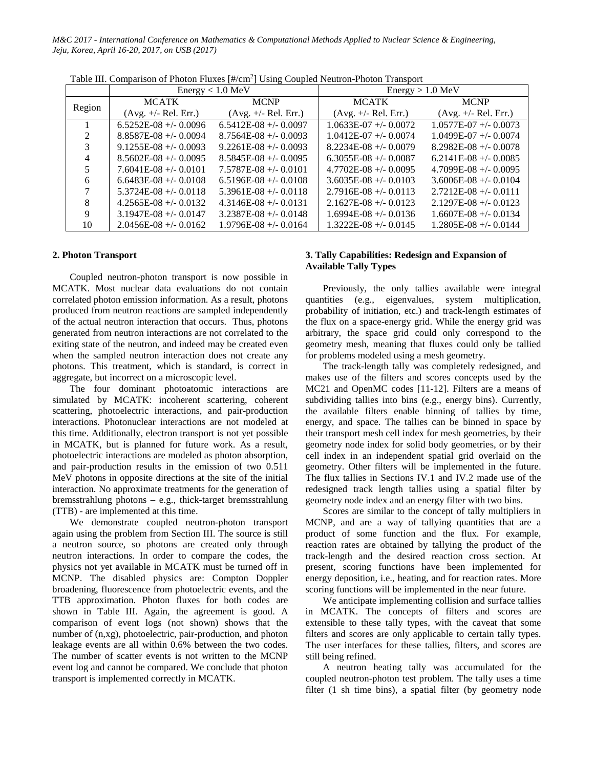|                             |                         | $Energy < 1.0$ MeV        | $Energy > 1.0$ MeV      |                         |  |
|-----------------------------|-------------------------|---------------------------|-------------------------|-------------------------|--|
| Region                      | <b>MCATK</b>            | <b>MCNP</b>               | <b>MCATK</b>            | <b>MCNP</b>             |  |
|                             | $(Avg. +/- Rel. Err.)$  | $(Avg. +/- Rel. Err.)$    | $(Avg. +/- Rel. Err.)$  | $(Avg. +/- Rel. Err.)$  |  |
|                             | $6.5252E-08 + -0.0096$  | $6.5412E-08 + -0.0097$    | $1.0633E-07$ +/- 0.0072 | $1.0577E-07$ +/- 0.0073 |  |
| $\mathcal{D}_{\mathcal{L}}$ | $8.8587E-0.0094$        | $8.7564E-08 + -0.0093$    | $1.0412E-07$ +/- 0.0074 | $1.0499E-07$ +/- 0.0074 |  |
|                             | $9.1255E-08$ +/- 0.0093 | $9.2261E-08 + -0.0093$    | $8.2234E-08 + -0.0079$  | $8.2982E-08 + -0.0078$  |  |
|                             | $8.5602E-08 + -0.0095$  | $8.5845E-08$ +/- 0.0095   | $6.3055E-08$ +/- 0.0087 | $6.2141E-08 + -0.0085$  |  |
|                             | $7.6041E-08 + -0.0101$  | $7.5787E-0.04 + - 0.0101$ | $4.7702E-08 + -0.0095$  | $4.7099E-08 + -0.0095$  |  |
| 6                           | $6.6483E-08$ +/- 0.0108 | $6.5196E-08$ +/- 0.0108   | $3.6035E-08$ +/- 0.0103 | $3.6006E-08$ +/- 0.0104 |  |
|                             | $5.3724E-08$ +/- 0.0118 | $5.3961E-08$ +/- 0.0118   | $2.7916E-08 + -0.0113$  | $2.7212E-08 + -0.0111$  |  |
| 8                           | $4.2565E-08$ +/- 0.0132 | $4.3146E-08 + -0.0131$    | $2.1627E-08 + -0.0123$  | $2.1297E-08 + -0.0123$  |  |
| 9                           | $3.1947E-08$ +/- 0.0147 | $3.2387E-08$ +/- 0.0148   | $1.6994E-08$ +/- 0.0136 | $1.6607E-08 + -0.0134$  |  |
| 10                          | $2.0456E-08 + -0.0162$  | $1.9796E-08 + -0.0164$    | $1.3222E-08$ +/- 0.0145 | $1.2805E-08 + -0.0144$  |  |

Table III. Comparison of Photon Fluxes [#/cm<sup>2</sup>] Using Coupled Neutron-Photon Transport

#### **2. Photon Transport**

Coupled neutron-photon transport is now possible in MCATK. Most nuclear data evaluations do not contain correlated photon emission information. As a result, photons produced from neutron reactions are sampled independently of the actual neutron interaction that occurs. Thus, photons generated from neutron interactions are not correlated to the exiting state of the neutron, and indeed may be created even when the sampled neutron interaction does not create any photons. This treatment, which is standard, is correct in aggregate, but incorrect on a microscopic level.

The four dominant photoatomic interactions are simulated by MCATK: incoherent scattering, coherent scattering, photoelectric interactions, and pair-production interactions. Photonuclear interactions are not modeled at this time. Additionally, electron transport is not yet possible in MCATK, but is planned for future work. As a result, photoelectric interactions are modeled as photon absorption, and pair-production results in the emission of two 0.511 MeV photons in opposite directions at the site of the initial interaction. No approximate treatments for the generation of bremsstrahlung photons – e.g., thick-target bremsstrahlung (TTB) - are implemented at this time.

We demonstrate coupled neutron-photon transport again using the problem from Section III. The source is still a neutron source, so photons are created only through neutron interactions. In order to compare the codes, the physics not yet available in MCATK must be turned off in MCNP. The disabled physics are: Compton Doppler broadening, fluorescence from photoelectric events, and the TTB approximation. Photon fluxes for both codes are shown in Table III. Again, the agreement is good. A comparison of event logs (not shown) shows that the number of (n,xg), photoelectric, pair-production, and photon leakage events are all within 0.6% between the two codes. The number of scatter events is not written to the MCNP event log and cannot be compared. We conclude that photon transport is implemented correctly in MCATK.

# **3. Tally Capabilities: Redesign and Expansion of Available Tally Types**

Previously, the only tallies available were integral quantities (e.g., eigenvalues, system multiplication, probability of initiation, etc.) and track-length estimates of the flux on a space-energy grid. While the energy grid was arbitrary, the space grid could only correspond to the geometry mesh, meaning that fluxes could only be tallied for problems modeled using a mesh geometry.

The track-length tally was completely redesigned, and makes use of the filters and scores concepts used by the MC21 and OpenMC codes [11-12]. Filters are a means of subdividing tallies into bins (e.g., energy bins). Currently, the available filters enable binning of tallies by time, energy, and space. The tallies can be binned in space by their transport mesh cell index for mesh geometries, by their geometry node index for solid body geometries, or by their cell index in an independent spatial grid overlaid on the geometry. Other filters will be implemented in the future. The flux tallies in Sections IV.1 and IV.2 made use of the redesigned track length tallies using a spatial filter by geometry node index and an energy filter with two bins.

Scores are similar to the concept of tally multipliers in MCNP, and are a way of tallying quantities that are a product of some function and the flux. For example, reaction rates are obtained by tallying the product of the track-length and the desired reaction cross section. At present, scoring functions have been implemented for energy deposition, i.e., heating, and for reaction rates. More scoring functions will be implemented in the near future.

We anticipate implementing collision and surface tallies in MCATK. The concepts of filters and scores are extensible to these tally types, with the caveat that some filters and scores are only applicable to certain tally types. The user interfaces for these tallies, filters, and scores are still being refined.

A neutron heating tally was accumulated for the coupled neutron-photon test problem. The tally uses a time filter (1 sh time bins), a spatial filter (by geometry node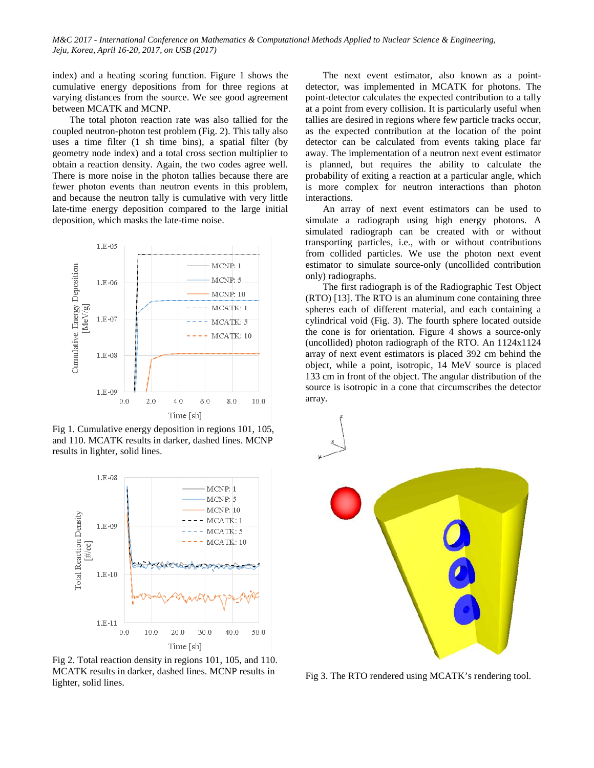index) and a heating scoring function. Figure 1 shows the cumulative energy depositions from for three regions at varying distances from the source. We see good agreement between MCATK and MCNP.

The total photon reaction rate was also tallied for the coupled neutron-photon test problem (Fig. 2). This tally also uses a time filter (1 sh time bins), a spatial filter (by geometry node index) and a total cross section multiplier to obtain a reaction density. Again, the two codes agree well. There is more noise in the photon tallies because there are fewer photon events than neutron events in this problem, and because the neutron tally is cumulative with very little late-time energy deposition compared to the large initial deposition, which masks the late-time noise.



Fig 1. Cumulative energy deposition in regions 101, 105, and 110. MCATK results in darker, dashed lines. MCNP results in lighter, solid lines.



Fig 2. Total reaction density in regions 101, 105, and 110. MCATK results in darker, dashed lines. MCNP results in lighter, solid lines.

The next event estimator, also known as a pointdetector, was implemented in MCATK for photons. The point-detector calculates the expected contribution to a tally at a point from every collision. It is particularly useful when tallies are desired in regions where few particle tracks occur, as the expected contribution at the location of the point detector can be calculated from events taking place far away. The implementation of a neutron next event estimator is planned, but requires the ability to calculate the probability of exiting a reaction at a particular angle, which is more complex for neutron interactions than photon interactions.

An array of next event estimators can be used to simulate a radiograph using high energy photons. A simulated radiograph can be created with or without transporting particles, i.e., with or without contributions from collided particles. We use the photon next event estimator to simulate source-only (uncollided contribution only) radiographs.

The first radiograph is of the Radiographic Test Object (RTO) [13]. The RTO is an aluminum cone containing three spheres each of different material, and each containing a cylindrical void (Fig. 3). The fourth sphere located outside the cone is for orientation. Figure 4 shows a source-only (uncollided) photon radiograph of the RTO. An 1124x1124 array of next event estimators is placed 392 cm behind the object, while a point, isotropic, 14 MeV source is placed 133 cm in front of the object. The angular distribution of the source is isotropic in a cone that circumscribes the detector array.



Fig 3. The RTO rendered using MCATK's rendering tool.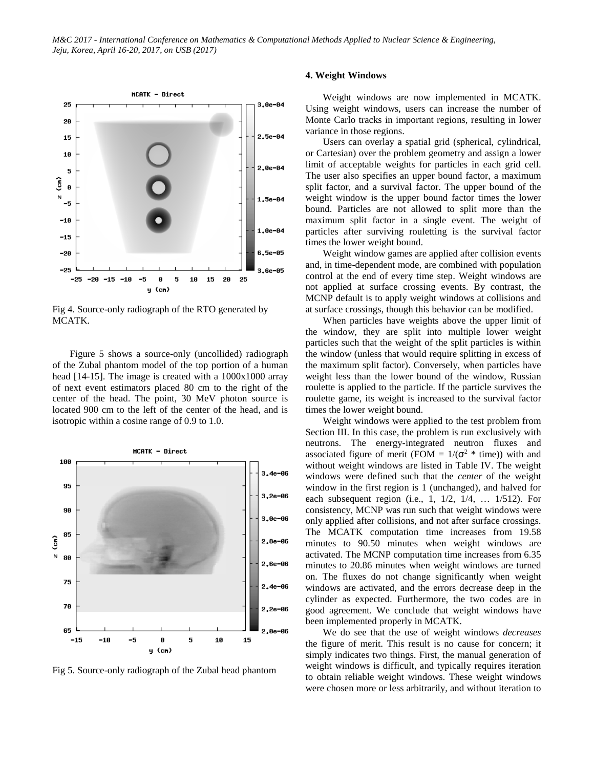

Fig 4. Source-only radiograph of the RTO generated by MCATK.

Figure 5 shows a source-only (uncollided) radiograph of the Zubal phantom model of the top portion of a human head [14-15]. The image is created with a  $1000x1000$  array of next event estimators placed 80 cm to the right of the center of the head. The point, 30 MeV photon source is located 900 cm to the left of the center of the head, and is isotropic within a cosine range of 0.9 to 1.0.



Fig 5. Source-only radiograph of the Zubal head phantom

### **4. Weight Windows**

Weight windows are now implemented in MCATK. Using weight windows, users can increase the number of Monte Carlo tracks in important regions, resulting in lower variance in those regions.

Users can overlay a spatial grid (spherical, cylindrical, or Cartesian) over the problem geometry and assign a lower limit of acceptable weights for particles in each grid cell. The user also specifies an upper bound factor, a maximum split factor, and a survival factor. The upper bound of the weight window is the upper bound factor times the lower bound. Particles are not allowed to split more than the maximum split factor in a single event. The weight of particles after surviving rouletting is the survival factor times the lower weight bound.

Weight window games are applied after collision events and, in time-dependent mode, are combined with population control at the end of every time step. Weight windows are not applied at surface crossing events. By contrast, the MCNP default is to apply weight windows at collisions and at surface crossings, though this behavior can be modified.

When particles have weights above the upper limit of the window, they are split into multiple lower weight particles such that the weight of the split particles is within the window (unless that would require splitting in excess of the maximum split factor). Conversely, when particles have weight less than the lower bound of the window, Russian roulette is applied to the particle. If the particle survives the roulette game, its weight is increased to the survival factor times the lower weight bound.

Weight windows were applied to the test problem from Section III. In this case, the problem is run exclusively with neutrons. The energy-integrated neutron fluxes and associated figure of merit (FOM =  $1/(\sigma^2 * \text{ time})$ ) with and without weight windows are listed in Table IV. The weight windows were defined such that the *center* of the weight window in the first region is 1 (unchanged), and halved for each subsequent region (i.e., 1, 1/2, 1/4, … 1/512). For consistency, MCNP was run such that weight windows were only applied after collisions, and not after surface crossings. The MCATK computation time increases from 19.58 minutes to 90.50 minutes when weight windows are activated. The MCNP computation time increases from 6.35 minutes to 20.86 minutes when weight windows are turned on. The fluxes do not change significantly when weight windows are activated, and the errors decrease deep in the cylinder as expected. Furthermore, the two codes are in good agreement. We conclude that weight windows have been implemented properly in MCATK.

We do see that the use of weight windows *decreases* the figure of merit. This result is no cause for concern; it simply indicates two things. First, the manual generation of weight windows is difficult, and typically requires iteration to obtain reliable weight windows. These weight windows were chosen more or less arbitrarily, and without iteration to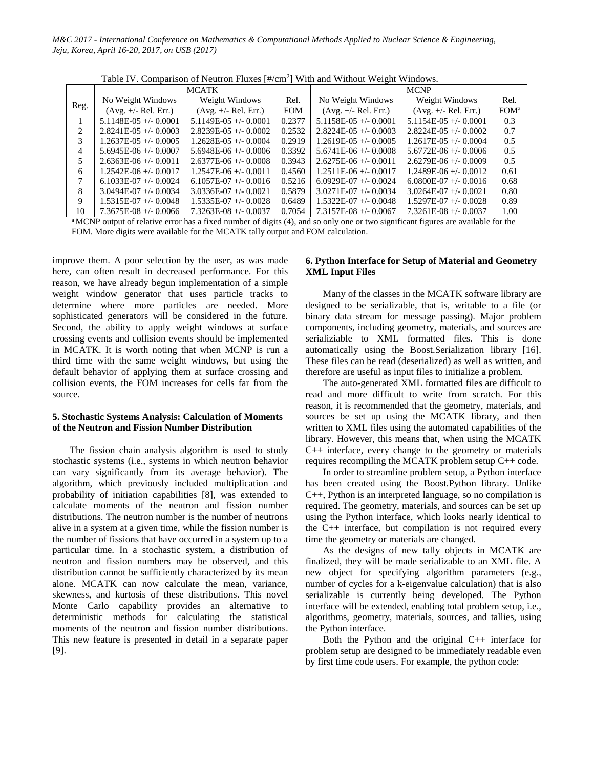|                | <b>MCATK</b>            |                         |            | <b>MCNP</b>               |                         |                  |
|----------------|-------------------------|-------------------------|------------|---------------------------|-------------------------|------------------|
| Reg.           | No Weight Windows       | Weight Windows          | Rel.       | No Weight Windows         | Weight Windows          | Rel.             |
|                | $(Avg. +/- Rel. Err.)$  | $(Avg. +/- Rel. Err.)$  | <b>FOM</b> | $(Avg. +/- Rel. Err.)$    | $(Avg. +/- Rel. Err.)$  | FOM <sup>a</sup> |
|                | $5.1148E-05$ +/- 0.0001 | $5.1149E-05$ +/- 0.0001 | 0.2377     | $5.1158E-05$ +/- 0.0001   | $5.1154E-05$ +/- 0.0001 | 0.3              |
| $\mathfrak{D}$ | $2.8241E-0.5 + 0.0003$  | $2.8239E-05$ +/- 0.0002 | 0.2532     | $2.8224E-0.5 + 0.0003$    | $2.8224E-0.5 + 0.0002$  | 0.7              |
| 3              | $1.2637E-05 + (-0.0005$ | $1.2628E-05$ +/- 0.0004 | 0.2919     | $1.2619E-05 + 0.0005$     | $1.2617E-0.5 + -0.0004$ | 0.5              |
| 4              | $5.6945E-06$ +/- 0.0007 | $5.6948E-06 + 0.0006$   | 0.3392     | $5.6741E-06 + 0.0008$     | $5.6772E-06$ +/- 0.0006 | 0.5              |
|                | $2.6363E-06$ +/- 0.0011 | $2.6377E-06$ +/- 0.0008 | 0.3943     | $2.6275E-06$ +/- 0.0011   | $2.6279E-06$ +/- 0.0009 | 0.5              |
| 6              | $1.2542E-06 + -0.0017$  | $1.2547E-06$ +/- 0.0011 | 0.4560     | $1.2511E-06$ +/- 0.0017   | $1.2489E-06 + 0.0012$   | 0.61             |
|                | $6.1033E-07$ +/- 0.0024 | $6.1057E-07$ +/- 0.0016 | 0.5216     | $6.0929E-07$ +/- 0.0024   | $6.0800E-07$ +/- 0.0016 | 0.68             |
| 8              | $3.0494E-07$ +/- 0.0034 | $3.0336E-07$ +/- 0.0021 | 0.5879     | $3.0271E-07$ +/- 0.0034   | $3.0264E-07$ +/- 0.0021 | 0.80             |
| 9              | $1.5315E-07$ +/- 0.0048 | $1.5335E-07$ +/- 0.0028 | 0.6489     | $1.5322E - 07$ +/- 0.0048 | $1.5297E-07$ +/- 0.0028 | 0.89             |
| 10             | $7.3675E-08 + -0.0066$  | $7.3263E-08 + 0.0037$   | 0.7054     | $7.3157E-08 + -0.0067$    | $7.3261E-08 + -0.0037$  | 1.00             |

Table IV. Comparison of Neutron Fluxes  $[\#/cm^2]$  With and Without Weight Windows.

<sup>a</sup> MCNP output of relative error has a fixed number of digits (4), and so only one or two significant figures are available for the FOM. More digits were available for the MCATK tally output and FOM calculation.

improve them. A poor selection by the user, as was made here, can often result in decreased performance. For this reason, we have already begun implementation of a simple weight window generator that uses particle tracks to determine where more particles are needed. More sophisticated generators will be considered in the future. Second, the ability to apply weight windows at surface crossing events and collision events should be implemented in MCATK. It is worth noting that when MCNP is run a third time with the same weight windows, but using the default behavior of applying them at surface crossing and collision events, the FOM increases for cells far from the source.

# **5. Stochastic Systems Analysis: Calculation of Moments of the Neutron and Fission Number Distribution**

The fission chain analysis algorithm is used to study stochastic systems (i.e., systems in which neutron behavior can vary significantly from its average behavior). The algorithm, which previously included multiplication and probability of initiation capabilities [8], was extended to calculate moments of the neutron and fission number distributions. The neutron number is the number of neutrons alive in a system at a given time, while the fission number is the number of fissions that have occurred in a system up to a particular time. In a stochastic system, a distribution of neutron and fission numbers may be observed, and this distribution cannot be sufficiently characterized by its mean alone. MCATK can now calculate the mean, variance, skewness, and kurtosis of these distributions. This novel Monte Carlo capability provides an alternative to deterministic methods for calculating the statistical moments of the neutron and fission number distributions. This new feature is presented in detail in a separate paper [9].

# **6. Python Interface for Setup of Material and Geometry XML Input Files**

Many of the classes in the MCATK software library are designed to be serializable, that is, writable to a file (or binary data stream for message passing). Major problem components, including geometry, materials, and sources are serializiable to XML formatted files. This is done automatically using the Boost.Serialization library [16]. These files can be read (deserialized) as well as written, and therefore are useful as input files to initialize a problem.

The auto-generated XML formatted files are difficult to read and more difficult to write from scratch. For this reason, it is recommended that the geometry, materials, and sources be set up using the MCATK library, and then written to XML files using the automated capabilities of the library. However, this means that, when using the MCATK C++ interface, every change to the geometry or materials requires recompiling the MCATK problem setup C++ code.

In order to streamline problem setup, a Python interface has been created using the Boost.Python library. Unlike C++, Python is an interpreted language, so no compilation is required. The geometry, materials, and sources can be set up using the Python interface, which looks nearly identical to the C++ interface, but compilation is not required every time the geometry or materials are changed.

As the designs of new tally objects in MCATK are finalized, they will be made serializable to an XML file. A new object for specifying algorithm parameters (e.g., number of cycles for a k-eigenvalue calculation) that is also serializable is currently being developed. The Python interface will be extended, enabling total problem setup, i.e., algorithms, geometry, materials, sources, and tallies, using the Python interface.

Both the Python and the original C++ interface for problem setup are designed to be immediately readable even by first time code users. For example, the python code: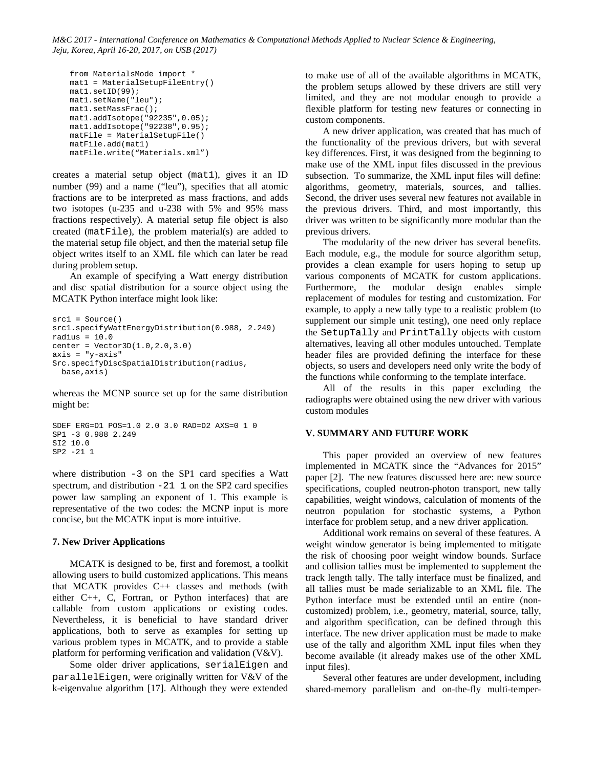```
from MaterialsMode import *
mat1 = MaterialSetupFileEntry()
mat1.setID(99);
mat1.setName("leu");
mat1.setMassFrac();
mat1.addIsotope("92235",0.05);
mat1.addIsotope("92238",0.95);
matFile = MaterialSetupFile()
matFile.add(mat1)
matFile.write("Materials.xml")
```
creates a material setup object (mat1), gives it an ID number (99) and a name ("leu"), specifies that all atomic fractions are to be interpreted as mass fractions, and adds two isotopes (u-235 and u-238 with 5% and 95% mass fractions respectively). A material setup file object is also created (matFile), the problem material(s) are added to the material setup file object, and then the material setup file object writes itself to an XML file which can later be read during problem setup.

An example of specifying a Watt energy distribution and disc spatial distribution for a source object using the MCATK Python interface might look like:

```
src1 = Source()
src1.specifyWattEnergyDistribution(0.988, 2.249)
radius = 10.0
center = Vector3D(1.0, 2.0, 3.0)axis = "y-axis"
Src.specifyDiscSpatialDistribution(radius,
  base,axis)
```
whereas the MCNP source set up for the same distribution might be:

```
SDEF ERG=D1 POS=1.0 2.0 3.0 RAD=D2 AXS=0 1 0
SP1 -3 0.988 2.249
SI2 10.0
SP2 -21 1
```
where distribution -3 on the SP1 card specifies a Watt spectrum, and distribution  $-21$  1 on the SP2 card specifies power law sampling an exponent of 1. This example is representative of the two codes: the MCNP input is more concise, but the MCATK input is more intuitive.

### **7. New Driver Applications**

MCATK is designed to be, first and foremost, a toolkit allowing users to build customized applications. This means that MCATK provides C++ classes and methods (with either C++, C, Fortran, or Python interfaces) that are callable from custom applications or existing codes. Nevertheless, it is beneficial to have standard driver applications, both to serve as examples for setting up various problem types in MCATK, and to provide a stable platform for performing verification and validation (V&V).

Some older driver applications, serialEigen and parallelEigen, were originally written for V&V of the k-eigenvalue algorithm [17]. Although they were extended to make use of all of the available algorithms in MCATK, the problem setups allowed by these drivers are still very limited, and they are not modular enough to provide a flexible platform for testing new features or connecting in custom components.

A new driver application, was created that has much of the functionality of the previous drivers, but with several key differences. First, it was designed from the beginning to make use of the XML input files discussed in the previous subsection. To summarize, the XML input files will define: algorithms, geometry, materials, sources, and tallies. Second, the driver uses several new features not available in the previous drivers. Third, and most importantly, this driver was written to be significantly more modular than the previous drivers.

The modularity of the new driver has several benefits. Each module, e.g., the module for source algorithm setup, provides a clean example for users hoping to setup up various components of MCATK for custom applications. Furthermore, the modular design enables simple replacement of modules for testing and customization. For example, to apply a new tally type to a realistic problem (to supplement our simple unit testing), one need only replace the SetupTally and PrintTally objects with custom alternatives, leaving all other modules untouched. Template header files are provided defining the interface for these objects, so users and developers need only write the body of the functions while conforming to the template interface.

All of the results in this paper excluding the radiographs were obtained using the new driver with various custom modules

# **V. SUMMARY AND FUTURE WORK**

This paper provided an overview of new features implemented in MCATK since the "Advances for 2015" paper [2]. The new features discussed here are: new source specifications, coupled neutron-photon transport, new tally capabilities, weight windows, calculation of moments of the neutron population for stochastic systems, a Python interface for problem setup, and a new driver application.

Additional work remains on several of these features. A weight window generator is being implemented to mitigate the risk of choosing poor weight window bounds. Surface and collision tallies must be implemented to supplement the track length tally. The tally interface must be finalized, and all tallies must be made serializable to an XML file. The Python interface must be extended until an entire (noncustomized) problem, i.e., geometry, material, source, tally, and algorithm specification, can be defined through this interface. The new driver application must be made to make use of the tally and algorithm XML input files when they become available (it already makes use of the other XML input files).

Several other features are under development, including shared-memory parallelism and on-the-fly multi-temper-